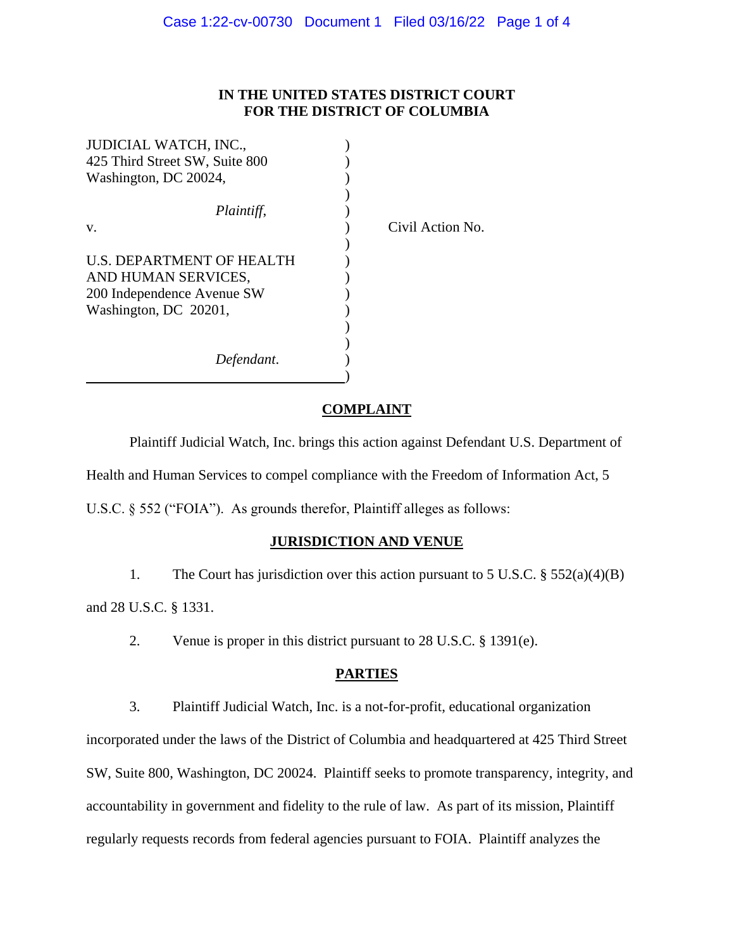# **IN THE UNITED STATES DISTRICT COURT FOR THE DISTRICT OF COLUMBIA**

Action No.

| JUDICIAL WATCH, INC.,          |       |
|--------------------------------|-------|
| 425 Third Street SW, Suite 800 |       |
| Washington, DC 20024,          |       |
| Plaintiff,                     |       |
| V.                             | Civil |
| U.S. DEPARTMENT OF HEALTH      |       |
| AND HUMAN SERVICES,            |       |
| 200 Independence Avenue SW     |       |
| Washington, DC 20201,          |       |
|                                |       |
| Defendant.                     |       |
|                                |       |

#### **COMPLAINT**

Plaintiff Judicial Watch, Inc. brings this action against Defendant U.S. Department of Health and Human Services to compel compliance with the Freedom of Information Act, 5 U.S.C. § 552 ("FOIA"). As grounds therefor, Plaintiff alleges as follows:

#### **JURISDICTION AND VENUE**

1. The Court has jurisdiction over this action pursuant to 5 U.S.C. § 552(a)(4)(B) and 28 U.S.C. § 1331.

2. Venue is proper in this district pursuant to 28 U.S.C. § 1391(e).

# **PARTIES**

3. Plaintiff Judicial Watch, Inc. is a not-for-profit, educational organization incorporated under the laws of the District of Columbia and headquartered at 425 Third Street SW, Suite 800, Washington, DC 20024. Plaintiff seeks to promote transparency, integrity, and accountability in government and fidelity to the rule of law. As part of its mission, Plaintiff regularly requests records from federal agencies pursuant to FOIA. Plaintiff analyzes the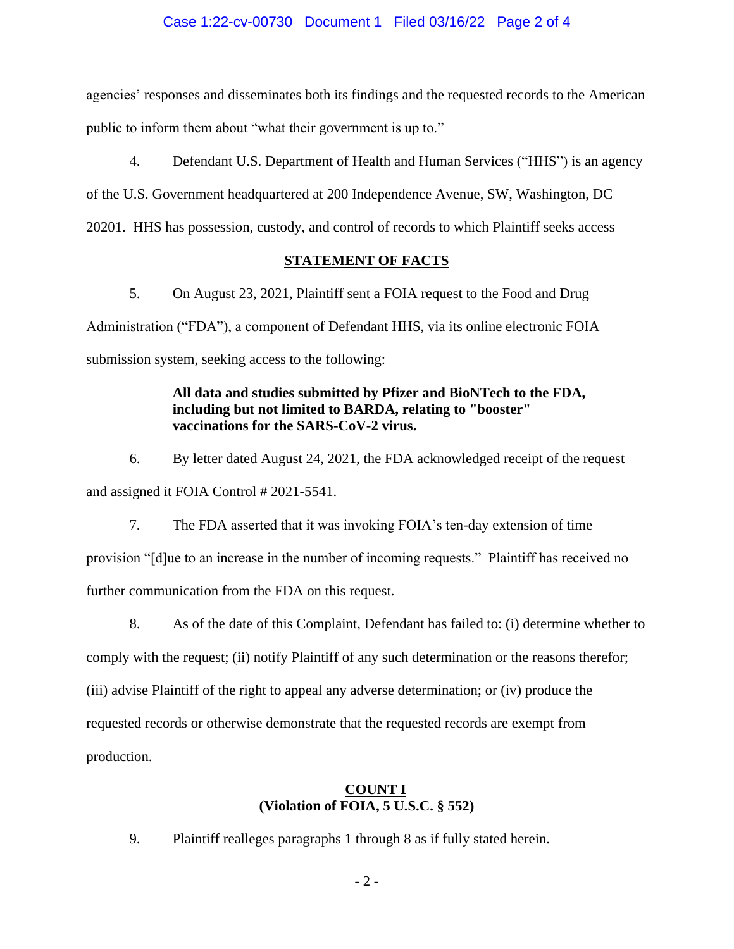#### Case 1:22-cv-00730 Document 1 Filed 03/16/22 Page 2 of 4

agencies' responses and disseminates both its findings and the requested records to the American public to inform them about "what their government is up to."

4. Defendant U.S. Department of Health and Human Services ("HHS") is an agency of the U.S. Government headquartered at 200 Independence Avenue, SW, Washington, DC 20201. HHS has possession, custody, and control of records to which Plaintiff seeks access

### **STATEMENT OF FACTS**

5. On August 23, 2021, Plaintiff sent a FOIA request to the Food and Drug Administration ("FDA"), a component of Defendant HHS, via its online electronic FOIA submission system, seeking access to the following:

# **All data and studies submitted by Pfizer and BioNTech to the FDA, including but not limited to BARDA, relating to "booster" vaccinations for the SARS-CoV-2 virus.**

6. By letter dated August 24, 2021, the FDA acknowledged receipt of the request and assigned it FOIA Control # 2021-5541.

7. The FDA asserted that it was invoking FOIA's ten-day extension of time provision "[d]ue to an increase in the number of incoming requests." Plaintiff has received no further communication from the FDA on this request.

8. As of the date of this Complaint, Defendant has failed to: (i) determine whether to comply with the request; (ii) notify Plaintiff of any such determination or the reasons therefor; (iii) advise Plaintiff of the right to appeal any adverse determination; or (iv) produce the requested records or otherwise demonstrate that the requested records are exempt from production.

#### **COUNT I (Violation of FOIA, 5 U.S.C. § 552)**

9. Plaintiff realleges paragraphs 1 through 8 as if fully stated herein.

- 2 -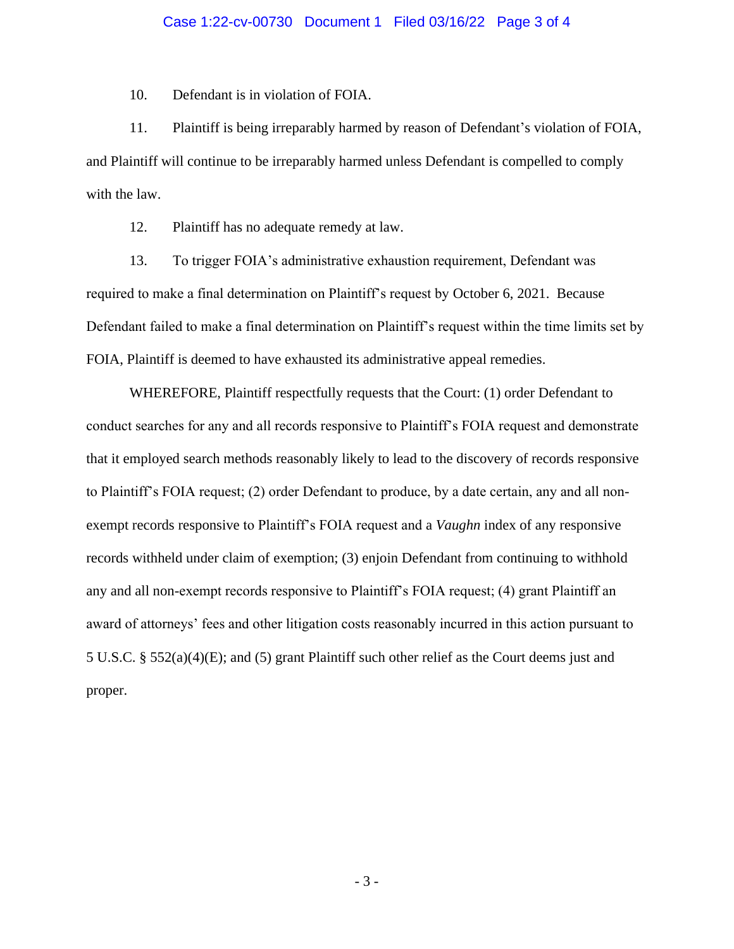#### Case 1:22-cv-00730 Document 1 Filed 03/16/22 Page 3 of 4

10. Defendant is in violation of FOIA.

11. Plaintiff is being irreparably harmed by reason of Defendant's violation of FOIA, and Plaintiff will continue to be irreparably harmed unless Defendant is compelled to comply with the law.

12. Plaintiff has no adequate remedy at law.

13. To trigger FOIA's administrative exhaustion requirement, Defendant was required to make a final determination on Plaintiff's request by October 6, 2021. Because Defendant failed to make a final determination on Plaintiff's request within the time limits set by FOIA, Plaintiff is deemed to have exhausted its administrative appeal remedies.

WHEREFORE, Plaintiff respectfully requests that the Court: (1) order Defendant to conduct searches for any and all records responsive to Plaintiff's FOIA request and demonstrate that it employed search methods reasonably likely to lead to the discovery of records responsive to Plaintiff's FOIA request; (2) order Defendant to produce, by a date certain, any and all nonexempt records responsive to Plaintiff's FOIA request and a *Vaughn* index of any responsive records withheld under claim of exemption; (3) enjoin Defendant from continuing to withhold any and all non-exempt records responsive to Plaintiff's FOIA request; (4) grant Plaintiff an award of attorneys' fees and other litigation costs reasonably incurred in this action pursuant to 5 U.S.C. § 552(a)(4)(E); and (5) grant Plaintiff such other relief as the Court deems just and proper.